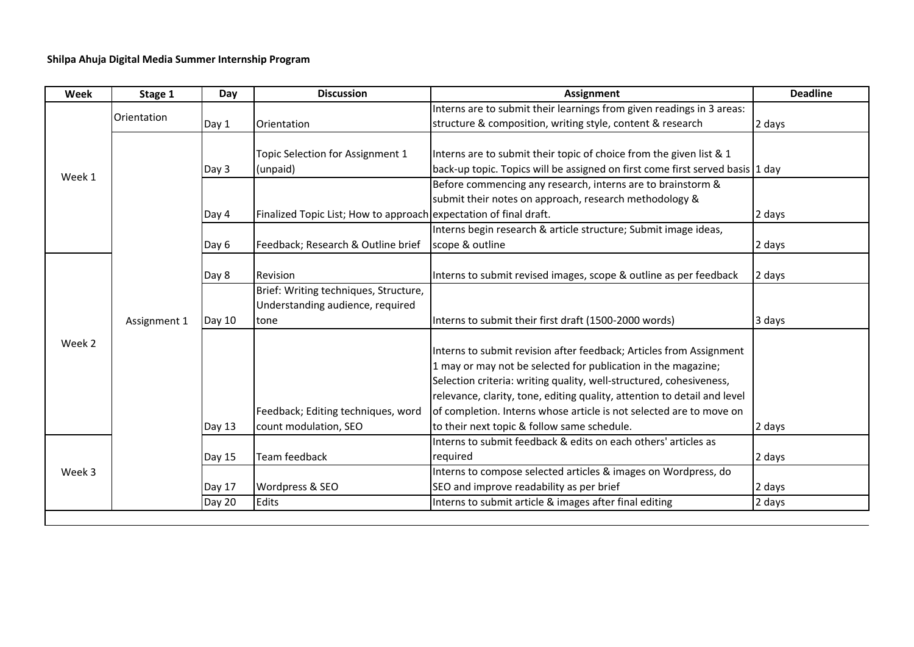## **Shilpa Ahuja Digital Media Summer Internship Program**

| Week   | Stage 1      | Day    | <b>Discussion</b>                                                         | <b>Assignment</b>                                                                                                                                                                                                                                                                                                                                              | <b>Deadline</b> |
|--------|--------------|--------|---------------------------------------------------------------------------|----------------------------------------------------------------------------------------------------------------------------------------------------------------------------------------------------------------------------------------------------------------------------------------------------------------------------------------------------------------|-----------------|
| Week 1 | Orientation  |        |                                                                           | Interns are to submit their learnings from given readings in 3 areas:                                                                                                                                                                                                                                                                                          |                 |
|        |              | Day 1  | Orientation                                                               | structure & composition, writing style, content & research                                                                                                                                                                                                                                                                                                     | 2 days          |
|        |              | Day 3  | Topic Selection for Assignment 1<br>(unpaid)                              | Interns are to submit their topic of choice from the given list & 1<br>back-up topic. Topics will be assigned on first come first served basis 1 day                                                                                                                                                                                                           |                 |
|        |              |        |                                                                           | Before commencing any research, interns are to brainstorm &                                                                                                                                                                                                                                                                                                    |                 |
|        |              |        |                                                                           | submit their notes on approach, research methodology &                                                                                                                                                                                                                                                                                                         |                 |
|        |              | Day 4  | Finalized Topic List; How to approach expectation of final draft.         |                                                                                                                                                                                                                                                                                                                                                                | 2 days          |
|        |              | Day 6  | Feedback; Research & Outline brief                                        | Interns begin research & article structure; Submit image ideas,<br>scope & outline                                                                                                                                                                                                                                                                             | 2 days          |
| Week 2 | Assignment 1 | Day 8  | Revision                                                                  | Interns to submit revised images, scope & outline as per feedback                                                                                                                                                                                                                                                                                              | 2 days          |
|        |              |        | Brief: Writing techniques, Structure,<br>Understanding audience, required |                                                                                                                                                                                                                                                                                                                                                                |                 |
|        |              | Day 10 | tone                                                                      | Interns to submit their first draft (1500-2000 words)                                                                                                                                                                                                                                                                                                          | 3 days          |
|        |              |        | Feedback; Editing techniques, word                                        | Interns to submit revision after feedback; Articles from Assignment<br>1 may or may not be selected for publication in the magazine;<br>Selection criteria: writing quality, well-structured, cohesiveness,<br>relevance, clarity, tone, editing quality, attention to detail and level<br>of completion. Interns whose article is not selected are to move on |                 |
|        |              | Day 13 | count modulation, SEO                                                     | to their next topic & follow same schedule.                                                                                                                                                                                                                                                                                                                    | 2 days          |
| Week 3 |              |        |                                                                           | Interns to submit feedback & edits on each others' articles as                                                                                                                                                                                                                                                                                                 |                 |
|        |              | Day 15 | Team feedback                                                             | required                                                                                                                                                                                                                                                                                                                                                       | 2 days          |
|        |              | Day 17 | Wordpress & SEO                                                           | Interns to compose selected articles & images on Wordpress, do<br>SEO and improve readability as per brief                                                                                                                                                                                                                                                     | 2 days          |
|        |              | Day 20 | Edits                                                                     | Interns to submit article & images after final editing                                                                                                                                                                                                                                                                                                         | 2 days          |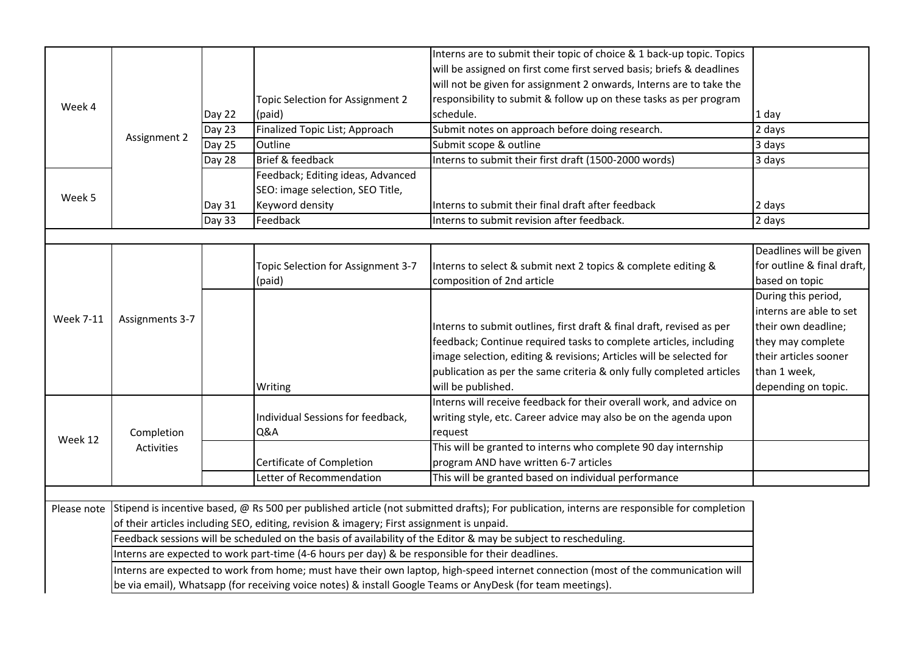|                  |                                                                                                                                    |        |                                    | Interns are to submit their topic of choice & 1 back-up topic. Topics                                                                      |                            |  |  |
|------------------|------------------------------------------------------------------------------------------------------------------------------------|--------|------------------------------------|--------------------------------------------------------------------------------------------------------------------------------------------|----------------------------|--|--|
| Week 4           | Assignment 2                                                                                                                       |        |                                    | will be assigned on first come first served basis; briefs & deadlines                                                                      |                            |  |  |
|                  |                                                                                                                                    |        |                                    | will not be given for assignment 2 onwards, Interns are to take the                                                                        |                            |  |  |
|                  |                                                                                                                                    |        | Topic Selection for Assignment 2   | responsibility to submit & follow up on these tasks as per program                                                                         |                            |  |  |
|                  |                                                                                                                                    | Day 22 | (paid)                             | schedule.                                                                                                                                  | 1 day                      |  |  |
|                  |                                                                                                                                    | Day 23 | Finalized Topic List; Approach     | Submit notes on approach before doing research.                                                                                            | 2 days                     |  |  |
|                  |                                                                                                                                    | Day 25 | Outline                            | Submit scope & outline                                                                                                                     | 3 days                     |  |  |
|                  |                                                                                                                                    | Day 28 | Brief & feedback                   | Interns to submit their first draft (1500-2000 words)                                                                                      | 3 days                     |  |  |
|                  |                                                                                                                                    |        | Feedback; Editing ideas, Advanced  |                                                                                                                                            |                            |  |  |
|                  |                                                                                                                                    |        | SEO: image selection, SEO Title,   |                                                                                                                                            |                            |  |  |
| Week 5           |                                                                                                                                    | Day 31 | Keyword density                    | Interns to submit their final draft after feedback                                                                                         | 2 days                     |  |  |
|                  |                                                                                                                                    | Day 33 | Feedback                           | Interns to submit revision after feedback.                                                                                                 | 2 days                     |  |  |
|                  |                                                                                                                                    |        |                                    |                                                                                                                                            |                            |  |  |
|                  |                                                                                                                                    |        |                                    |                                                                                                                                            | Deadlines will be given    |  |  |
| <b>Week 7-11</b> | Assignments 3-7                                                                                                                    |        | Topic Selection for Assignment 3-7 | Interns to select & submit next 2 topics & complete editing &                                                                              | for outline & final draft, |  |  |
|                  |                                                                                                                                    |        | (paid)                             | composition of 2nd article                                                                                                                 | based on topic             |  |  |
|                  |                                                                                                                                    |        |                                    |                                                                                                                                            | During this period,        |  |  |
|                  |                                                                                                                                    |        |                                    |                                                                                                                                            | interns are able to set    |  |  |
|                  |                                                                                                                                    |        |                                    | Interns to submit outlines, first draft & final draft, revised as per                                                                      | their own deadline;        |  |  |
|                  |                                                                                                                                    |        |                                    | feedback; Continue required tasks to complete articles, including                                                                          | they may complete          |  |  |
|                  |                                                                                                                                    |        |                                    | image selection, editing & revisions; Articles will be selected for                                                                        | their articles sooner      |  |  |
|                  |                                                                                                                                    |        |                                    | publication as per the same criteria & only fully completed articles                                                                       | than 1 week,               |  |  |
|                  |                                                                                                                                    |        | Writing                            | will be published.                                                                                                                         | depending on topic.        |  |  |
|                  |                                                                                                                                    |        |                                    | Interns will receive feedback for their overall work, and advice on                                                                        |                            |  |  |
|                  | Completion<br>Activities                                                                                                           |        | Individual Sessions for feedback,  | writing style, etc. Career advice may also be on the agenda upon                                                                           |                            |  |  |
| Week 12          |                                                                                                                                    |        | Q&A                                | request                                                                                                                                    |                            |  |  |
|                  |                                                                                                                                    |        |                                    | This will be granted to interns who complete 90 day internship                                                                             |                            |  |  |
|                  |                                                                                                                                    |        | Certificate of Completion          | program AND have written 6-7 articles                                                                                                      |                            |  |  |
|                  |                                                                                                                                    |        | Letter of Recommendation           | This will be granted based on individual performance                                                                                       |                            |  |  |
|                  |                                                                                                                                    |        |                                    |                                                                                                                                            |                            |  |  |
| Please note      |                                                                                                                                    |        |                                    | Stipend is incentive based, @ Rs 500 per published article (not submitted drafts); For publication, interns are responsible for completion |                            |  |  |
|                  | of their articles including SEO, editing, revision & imagery; First assignment is unpaid.                                          |        |                                    |                                                                                                                                            |                            |  |  |
|                  | Feedback sessions will be scheduled on the basis of availability of the Editor & may be subject to rescheduling.                   |        |                                    |                                                                                                                                            |                            |  |  |
|                  | Interns are expected to work part-time (4-6 hours per day) & be responsible for their deadlines.                                   |        |                                    |                                                                                                                                            |                            |  |  |
|                  | Interns are expected to work from home; must have their own laptop, high-speed internet connection (most of the communication will |        |                                    |                                                                                                                                            |                            |  |  |
|                  | be via email), Whatsapp (for receiving voice notes) & install Google Teams or AnyDesk (for team meetings).                         |        |                                    |                                                                                                                                            |                            |  |  |